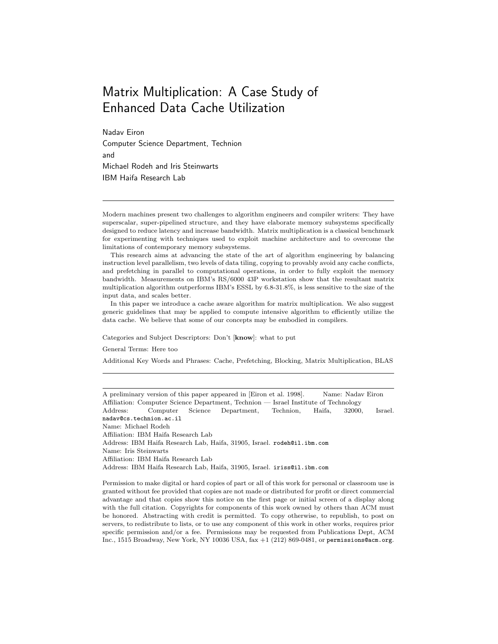# Matrix Multiplication: A Case Study of Enhanced Data Cache Utilization

Nadav Eiron Computer Science Department, Technion and Michael Rodeh and Iris Steinwarts IBM Haifa Research Lab

Modern machines present two challenges to algorithm engineers and compiler writers: They have superscalar, super-pipelined structure, and they have elaborate memory subsystems specifically designed to reduce latency and increase bandwidth. Matrix multiplication is a classical benchmark for experimenting with techniques used to exploit machine architecture and to overcome the limitations of contemporary memory subsystems.

This research aims at advancing the state of the art of algorithm engineering by balancing instruction level parallelism, two levels of data tiling, copying to provably avoid any cache conflicts, and prefetching in parallel to computational operations, in order to fully exploit the memory bandwidth. Measurements on IBM's RS/6000 43P workstation show that the resultant matrix multiplication algorithm outperforms IBM's ESSL by 6.8-31.8%, is less sensitive to the size of the input data, and scales better.

In this paper we introduce a cache aware algorithm for matrix multiplication. We also suggest generic guidelines that may be applied to compute intensive algorithm to efficiently utilize the data cache. We believe that some of our concepts may be embodied in compilers.

Categories and Subject Descriptors: Don't [know]: what to put

General Terms: Here too

Additional Key Words and Phrases: Cache, Prefetching, Blocking, Matrix Multiplication, BLAS

A preliminary version of this paper appeared in [Eiron et al. 1998]. Name: Nadav Eiron Affiliation: Computer Science Department, Technion — Israel Institute of Technology Address: Computer Science Department, Technion, Haifa, 32000, Israel. nadav@cs.technion.ac.il Name: Michael Rodeh Affiliation: IBM Haifa Research Lab Address: IBM Haifa Research Lab, Haifa, 31905, Israel. rodeh@il.ibm.com Name: Iris Steinwarts Affiliation: IBM Haifa Research Lab Address: IBM Haifa Research Lab, Haifa, 31905, Israel. iriss@il.ibm.com

Permission to make digital or hard copies of part or all of this work for personal or classroom use is granted without fee provided that copies are not made or distributed for profit or direct commercial advantage and that copies show this notice on the first page or initial screen of a display along with the full citation. Copyrights for components of this work owned by others than ACM must be honored. Abstracting with credit is permitted. To copy otherwise, to republish, to post on servers, to redistribute to lists, or to use any component of this work in other works, requires prior specific permission and/or a fee. Permissions may be requested from Publications Dept, ACM Inc., 1515 Broadway, New York, NY 10036 USA, fax +1 (212) 869-0481, or permissions@acm.org.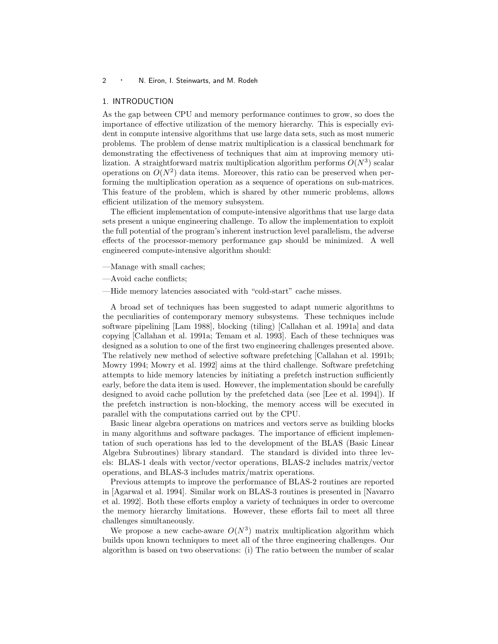#### 1. INTRODUCTION

As the gap between CPU and memory performance continues to grow, so does the importance of effective utilization of the memory hierarchy. This is especially evident in compute intensive algorithms that use large data sets, such as most numeric problems. The problem of dense matrix multiplication is a classical benchmark for demonstrating the effectiveness of techniques that aim at improving memory utilization. A straightforward matrix multiplication algorithm performs  $O(N^3)$  scalar operations on  $O(N^2)$  data items. Moreover, this ratio can be preserved when performing the multiplication operation as a sequence of operations on sub-matrices. This feature of the problem, which is shared by other numeric problems, allows efficient utilization of the memory subsystem.

The efficient implementation of compute-intensive algorithms that use large data sets present a unique engineering challenge. To allow the implementation to exploit the full potential of the program's inherent instruction level parallelism, the adverse effects of the processor-memory performance gap should be minimized. A well engineered compute-intensive algorithm should:

- —Manage with small caches;
- —Avoid cache conflicts;
- —Hide memory latencies associated with "cold-start" cache misses.

A broad set of techniques has been suggested to adapt numeric algorithms to the peculiarities of contemporary memory subsystems. These techniques include software pipelining [Lam 1988], blocking (tiling) [Callahan et al. 1991a] and data copying [Callahan et al. 1991a; Temam et al. 1993]. Each of these techniques was designed as a solution to one of the first two engineering challenges presented above. The relatively new method of selective software prefetching [Callahan et al. 1991b; Mowry 1994; Mowry et al. 1992] aims at the third challenge. Software prefetching attempts to hide memory latencies by initiating a prefetch instruction sufficiently early, before the data item is used. However, the implementation should be carefully designed to avoid cache pollution by the prefetched data (see [Lee et al. 1994]). If the prefetch instruction is non-blocking, the memory access will be executed in parallel with the computations carried out by the CPU.

Basic linear algebra operations on matrices and vectors serve as building blocks in many algorithms and software packages. The importance of efficient implementation of such operations has led to the development of the BLAS (Basic Linear Algebra Subroutines) library standard. The standard is divided into three levels: BLAS-1 deals with vector/vector operations, BLAS-2 includes matrix/vector operations, and BLAS-3 includes matrix/matrix operations.

Previous attempts to improve the performance of BLAS-2 routines are reported in [Agarwal et al. 1994]. Similar work on BLAS-3 routines is presented in [Navarro et al. 1992]. Both these efforts employ a variety of techniques in order to overcome the memory hierarchy limitations. However, these efforts fail to meet all three challenges simultaneously.

We propose a new cache-aware  $O(N^3)$  matrix multiplication algorithm which builds upon known techniques to meet all of the three engineering challenges. Our algorithm is based on two observations: (i) The ratio between the number of scalar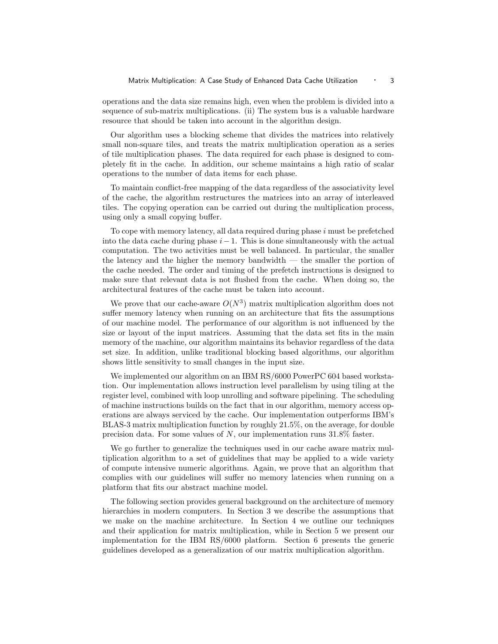operations and the data size remains high, even when the problem is divided into a sequence of sub-matrix multiplications. (ii) The system bus is a valuable hardware resource that should be taken into account in the algorithm design.

Our algorithm uses a blocking scheme that divides the matrices into relatively small non-square tiles, and treats the matrix multiplication operation as a series of tile multiplication phases. The data required for each phase is designed to completely fit in the cache. In addition, our scheme maintains a high ratio of scalar operations to the number of data items for each phase.

To maintain conflict-free mapping of the data regardless of the associativity level of the cache, the algorithm restructures the matrices into an array of interleaved tiles. The copying operation can be carried out during the multiplication process, using only a small copying buffer.

To cope with memory latency, all data required during phase i must be prefetched into the data cache during phase  $i-1$ . This is done simultaneously with the actual computation. The two activities must be well balanced. In particular, the smaller the latency and the higher the memory bandwidth — the smaller the portion of the cache needed. The order and timing of the prefetch instructions is designed to make sure that relevant data is not flushed from the cache. When doing so, the architectural features of the cache must be taken into account.

We prove that our cache-aware  $O(N^3)$  matrix multiplication algorithm does not suffer memory latency when running on an architecture that fits the assumptions of our machine model. The performance of our algorithm is not influenced by the size or layout of the input matrices. Assuming that the data set fits in the main memory of the machine, our algorithm maintains its behavior regardless of the data set size. In addition, unlike traditional blocking based algorithms, our algorithm shows little sensitivity to small changes in the input size.

We implemented our algorithm on an IBM RS/6000 PowerPC 604 based workstation. Our implementation allows instruction level parallelism by using tiling at the register level, combined with loop unrolling and software pipelining. The scheduling of machine instructions builds on the fact that in our algorithm, memory access operations are always serviced by the cache. Our implementation outperforms IBM's BLAS-3 matrix multiplication function by roughly 21.5%, on the average, for double precision data. For some values of  $N$ , our implementation runs  $31.8\%$  faster.

We go further to generalize the techniques used in our cache aware matrix multiplication algorithm to a set of guidelines that may be applied to a wide variety of compute intensive numeric algorithms. Again, we prove that an algorithm that complies with our guidelines will suffer no memory latencies when running on a platform that fits our abstract machine model.

The following section provides general background on the architecture of memory hierarchies in modern computers. In Section 3 we describe the assumptions that we make on the machine architecture. In Section 4 we outline our techniques and their application for matrix multiplication, while in Section 5 we present our implementation for the IBM RS/6000 platform. Section 6 presents the generic guidelines developed as a generalization of our matrix multiplication algorithm.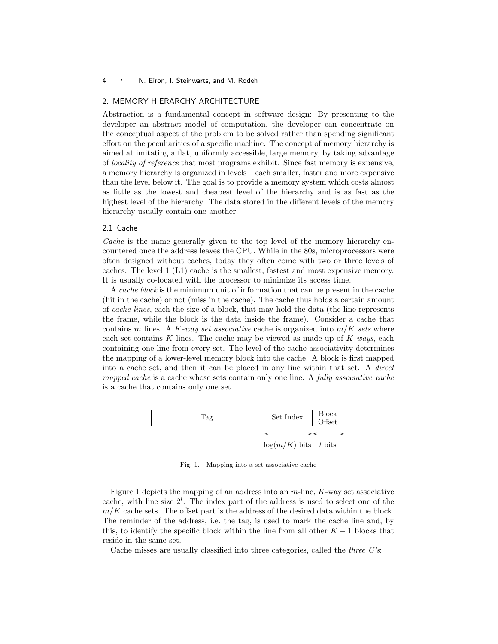## 2. MEMORY HIERARCHY ARCHITECTURE

Abstraction is a fundamental concept in software design: By presenting to the developer an abstract model of computation, the developer can concentrate on the conceptual aspect of the problem to be solved rather than spending significant effort on the peculiarities of a specific machine. The concept of memory hierarchy is aimed at imitating a flat, uniformly accessible, large memory, by taking advantage of locality of reference that most programs exhibit. Since fast memory is expensive, a memory hierarchy is organized in levels – each smaller, faster and more expensive than the level below it. The goal is to provide a memory system which costs almost as little as the lowest and cheapest level of the hierarchy and is as fast as the highest level of the hierarchy. The data stored in the different levels of the memory hierarchy usually contain one another.

# 2.1 Cache

Cache is the name generally given to the top level of the memory hierarchy encountered once the address leaves the CPU. While in the 80s, microprocessors were often designed without caches, today they often come with two or three levels of caches. The level 1 (L1) cache is the smallest, fastest and most expensive memory. It is usually co-located with the processor to minimize its access time.

A cache block is the minimum unit of information that can be present in the cache (hit in the cache) or not (miss in the cache). The cache thus holds a certain amount of cache lines, each the size of a block, that may hold the data (the line represents the frame, while the block is the data inside the frame). Consider a cache that contains m lines. A K-way set associative cache is organized into  $m/K$  sets where each set contains K lines. The cache may be viewed as made up of  $K$  ways, each containing one line from every set. The level of the cache associativity determines the mapping of a lower-level memory block into the cache. A block is first mapped into a cache set, and then it can be placed in any line within that set. A direct mapped cache is a cache whose sets contain only one line. A fully associative cache is a cache that contains only one set.



Fig. 1. Mapping into a set associative cache

Figure 1 depicts the mapping of an address into an  $m$ -line,  $K$ -way set associative cache, with line size  $2^l$ . The index part of the address is used to select one of the  $m/K$  cache sets. The offset part is the address of the desired data within the block. The reminder of the address, i.e. the tag, is used to mark the cache line and, by this, to identify the specific block within the line from all other  $K - 1$  blocks that reside in the same set.

Cache misses are usually classified into three categories, called the *three*  $C$ 's: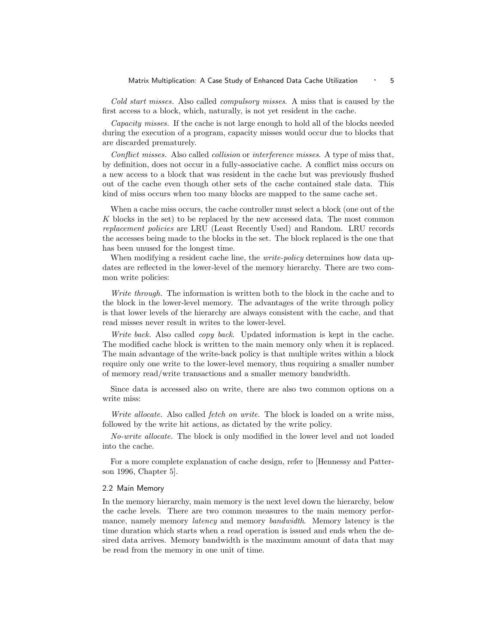### Matrix Multiplication: A Case Study of Enhanced Data Cache Utilization • 5

Cold start misses. Also called compulsory misses. A miss that is caused by the first access to a block, which, naturally, is not yet resident in the cache.

Capacity misses. If the cache is not large enough to hold all of the blocks needed during the execution of a program, capacity misses would occur due to blocks that are discarded prematurely.

Conflict misses. Also called collision or interference misses. A type of miss that, by definition, does not occur in a fully-associative cache. A conflict miss occurs on a new access to a block that was resident in the cache but was previously flushed out of the cache even though other sets of the cache contained stale data. This kind of miss occurs when too many blocks are mapped to the same cache set.

When a cache miss occurs, the cache controller must select a block (one out of the K blocks in the set) to be replaced by the new accessed data. The most common replacement policies are LRU (Least Recently Used) and Random. LRU records the accesses being made to the blocks in the set. The block replaced is the one that has been unused for the longest time.

When modifying a resident cache line, the *write-policy* determines how data updates are reflected in the lower-level of the memory hierarchy. There are two common write policies:

Write through. The information is written both to the block in the cache and to the block in the lower-level memory. The advantages of the write through policy is that lower levels of the hierarchy are always consistent with the cache, and that read misses never result in writes to the lower-level.

Write back. Also called *copy back*. Updated information is kept in the cache. The modified cache block is written to the main memory only when it is replaced. The main advantage of the write-back policy is that multiple writes within a block require only one write to the lower-level memory, thus requiring a smaller number of memory read/write transactions and a smaller memory bandwidth.

Since data is accessed also on write, there are also two common options on a write miss:

Write allocate. Also called fetch on write. The block is loaded on a write miss, followed by the write hit actions, as dictated by the write policy.

No-write allocate. The block is only modified in the lower level and not loaded into the cache.

For a more complete explanation of cache design, refer to [Hennessy and Patterson 1996, Chapter 5].

#### 2.2 Main Memory

In the memory hierarchy, main memory is the next level down the hierarchy, below the cache levels. There are two common measures to the main memory performance, namely memory *latency* and memory *bandwidth*. Memory latency is the time duration which starts when a read operation is issued and ends when the desired data arrives. Memory bandwidth is the maximum amount of data that may be read from the memory in one unit of time.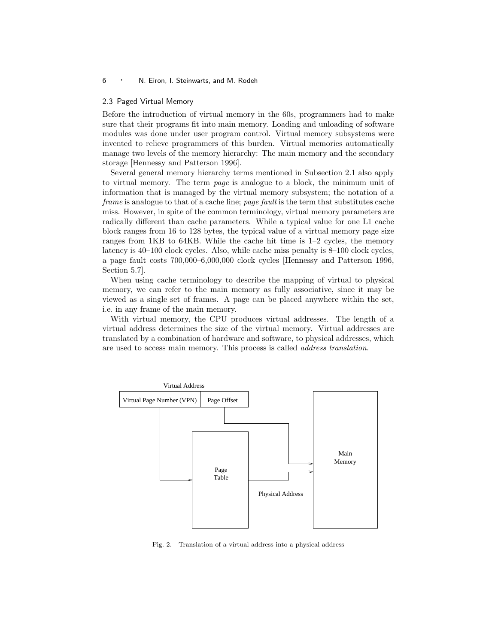#### 2.3 Paged Virtual Memory

Before the introduction of virtual memory in the 60s, programmers had to make sure that their programs fit into main memory. Loading and unloading of software modules was done under user program control. Virtual memory subsystems were invented to relieve programmers of this burden. Virtual memories automatically manage two levels of the memory hierarchy: The main memory and the secondary storage [Hennessy and Patterson 1996].

Several general memory hierarchy terms mentioned in Subsection 2.1 also apply to virtual memory. The term page is analogue to a block, the minimum unit of information that is managed by the virtual memory subsystem; the notation of a frame is analogue to that of a cache line; page fault is the term that substitutes cache miss. However, in spite of the common terminology, virtual memory parameters are radically different than cache parameters. While a typical value for one L1 cache block ranges from 16 to 128 bytes, the typical value of a virtual memory page size ranges from 1KB to 64KB. While the cache hit time is 1–2 cycles, the memory latency is 40–100 clock cycles. Also, while cache miss penalty is 8–100 clock cycles, a page fault costs 700,000–6,000,000 clock cycles [Hennessy and Patterson 1996, Section 5.7].

When using cache terminology to describe the mapping of virtual to physical memory, we can refer to the main memory as fully associative, since it may be viewed as a single set of frames. A page can be placed anywhere within the set, i.e. in any frame of the main memory.

With virtual memory, the CPU produces virtual addresses. The length of a virtual address determines the size of the virtual memory. Virtual addresses are translated by a combination of hardware and software, to physical addresses, which are used to access main memory. This process is called address translation.



Fig. 2. Translation of a virtual address into a physical address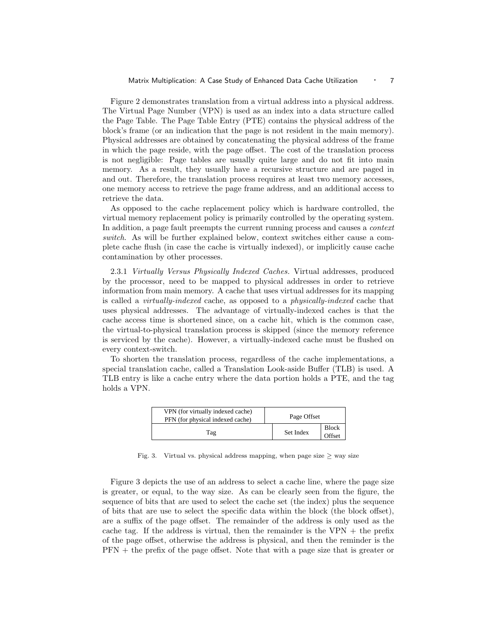Figure 2 demonstrates translation from a virtual address into a physical address. The Virtual Page Number (VPN) is used as an index into a data structure called the Page Table. The Page Table Entry (PTE) contains the physical address of the block's frame (or an indication that the page is not resident in the main memory). Physical addresses are obtained by concatenating the physical address of the frame in which the page reside, with the page offset. The cost of the translation process is not negligible: Page tables are usually quite large and do not fit into main memory. As a result, they usually have a recursive structure and are paged in and out. Therefore, the translation process requires at least two memory accesses, one memory access to retrieve the page frame address, and an additional access to retrieve the data.

As opposed to the cache replacement policy which is hardware controlled, the virtual memory replacement policy is primarily controlled by the operating system. In addition, a page fault preempts the current running process and causes a context switch. As will be further explained below, context switches either cause a complete cache flush (in case the cache is virtually indexed), or implicitly cause cache contamination by other processes.

2.3.1 Virtually Versus Physically Indexed Caches. Virtual addresses, produced by the processor, need to be mapped to physical addresses in order to retrieve information from main memory. A cache that uses virtual addresses for its mapping is called a virtually-indexed cache, as opposed to a physically-indexed cache that uses physical addresses. The advantage of virtually-indexed caches is that the cache access time is shortened since, on a cache hit, which is the common case, the virtual-to-physical translation process is skipped (since the memory reference is serviced by the cache). However, a virtually-indexed cache must be flushed on every context-switch.

To shorten the translation process, regardless of the cache implementations, a special translation cache, called a Translation Look-aside Buffer (TLB) is used. A TLB entry is like a cache entry where the data portion holds a PTE, and the tag holds a VPN.

| VPN (for virtually indexed cache)<br>PFN (for physical indexed cache) | Page Offset |                        |
|-----------------------------------------------------------------------|-------------|------------------------|
| Tag                                                                   | Set Index   | <b>Block</b><br>Offset |

Fig. 3. Virtual vs. physical address mapping, when page size  $\geq$  way size

Figure 3 depicts the use of an address to select a cache line, where the page size is greater, or equal, to the way size. As can be clearly seen from the figure, the sequence of bits that are used to select the cache set (the index) plus the sequence of bits that are use to select the specific data within the block (the block offset), are a suffix of the page offset. The remainder of the address is only used as the cache tag. If the address is virtual, then the remainder is the  $VPN +$  the prefix of the page offset, otherwise the address is physical, and then the reminder is the PFN + the prefix of the page offset. Note that with a page size that is greater or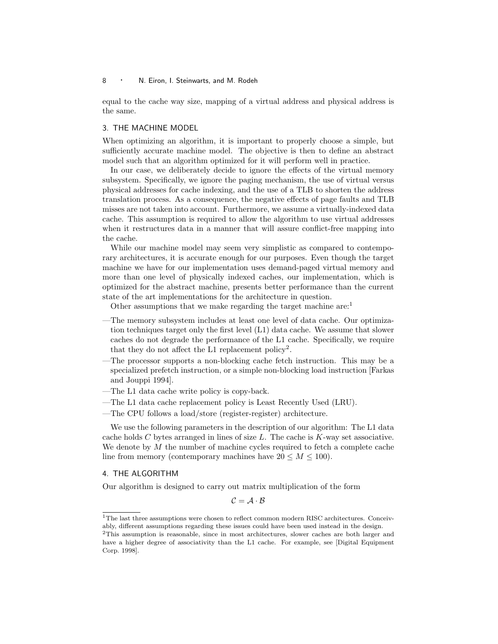equal to the cache way size, mapping of a virtual address and physical address is the same.

### 3. THE MACHINE MODEL

When optimizing an algorithm, it is important to properly choose a simple, but sufficiently accurate machine model. The objective is then to define an abstract model such that an algorithm optimized for it will perform well in practice.

In our case, we deliberately decide to ignore the effects of the virtual memory subsystem. Specifically, we ignore the paging mechanism, the use of virtual versus physical addresses for cache indexing, and the use of a TLB to shorten the address translation process. As a consequence, the negative effects of page faults and TLB misses are not taken into account. Furthermore, we assume a virtually-indexed data cache. This assumption is required to allow the algorithm to use virtual addresses when it restructures data in a manner that will assure conflict-free mapping into the cache.

While our machine model may seem very simplistic as compared to contemporary architectures, it is accurate enough for our purposes. Even though the target machine we have for our implementation uses demand-paged virtual memory and more than one level of physically indexed caches, our implementation, which is optimized for the abstract machine, presents better performance than the current state of the art implementations for the architecture in question.

Other assumptions that we make regarding the target machine are:<sup>1</sup>

- —The memory subsystem includes at least one level of data cache. Our optimization techniques target only the first level (L1) data cache. We assume that slower caches do not degrade the performance of the L1 cache. Specifically, we require that they do not affect the L1 replacement policy<sup>2</sup>.
- —The processor supports a non-blocking cache fetch instruction. This may be a specialized prefetch instruction, or a simple non-blocking load instruction [Farkas and Jouppi 1994].
- —The L1 data cache write policy is copy-back.
- —The L1 data cache replacement policy is Least Recently Used (LRU).
- —The CPU follows a load/store (register-register) architecture.

We use the following parameters in the description of our algorithm: The L1 data cache holds  $C$  bytes arranged in lines of size  $L$ . The cache is  $K$ -way set associative. We denote by  $M$  the number of machine cycles required to fetch a complete cache line from memory (contemporary machines have  $20 \leq M \leq 100$ ).

# 4. THE ALGORITHM

Our algorithm is designed to carry out matrix multiplication of the form

 $C = A \cdot B$ 

<sup>&</sup>lt;sup>1</sup>The last three assumptions were chosen to reflect common modern RISC architectures. Conceivably, different assumptions regarding these issues could have been used instead in the design.

<sup>2</sup>This assumption is reasonable, since in most architectures, slower caches are both larger and have a higher degree of associativity than the L1 cache. For example, see [Digital Equipment Corp. 1998].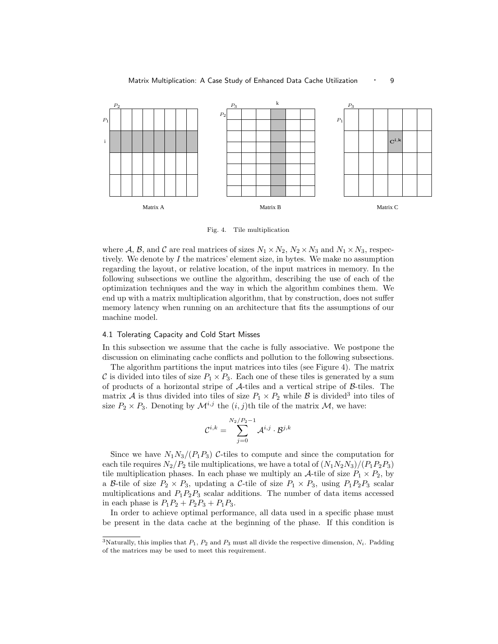

#### Matrix Multiplication: A Case Study of Enhanced Data Cache Utilization • 9

Fig. 4. Tile multiplication

where A, B, and C are real matrices of sizes  $N_1 \times N_2$ ,  $N_2 \times N_3$  and  $N_1 \times N_3$ , respectively. We denote by  $I$  the matrices' element size, in bytes. We make no assumption regarding the layout, or relative location, of the input matrices in memory. In the following subsections we outline the algorithm, describing the use of each of the optimization techniques and the way in which the algorithm combines them. We end up with a matrix multiplication algorithm, that by construction, does not suffer memory latency when running on an architecture that fits the assumptions of our machine model.

## 4.1 Tolerating Capacity and Cold Start Misses

In this subsection we assume that the cache is fully associative. We postpone the discussion on eliminating cache conflicts and pollution to the following subsections.

The algorithm partitions the input matrices into tiles (see Figure 4). The matrix C is divided into tiles of size  $P_1 \times P_3$ . Each one of these tiles is generated by a sum of products of a horizontal stripe of A-tiles and a vertical stripe of B-tiles. The matrix A is thus divided into tiles of size  $P_1 \times P_2$  while B is divided<sup>3</sup> into tiles of size  $P_2 \times P_3$ . Denoting by  $\mathcal{M}^{i,j}$  the  $(i,j)$ th tile of the matrix  $\mathcal{M}$ , we have:

$$
\mathcal{C}^{i,k} = \sum_{j=0}^{N_2/P_2-1} \mathcal{A}^{i,j} \cdot \mathcal{B}^{j,k}
$$

Since we have  $N_1N_3/(P_1P_3)$  C-tiles to compute and since the computation for each tile requires  $N_2/P_2$  tile multiplications, we have a total of  $(N_1N_2N_3)/(P_1P_2P_3)$ tile multiplication phases. In each phase we multiply an A-tile of size  $P_1 \times P_2$ , by a B-tile of size  $P_2 \times P_3$ , updating a C-tile of size  $P_1 \times P_3$ , using  $P_1P_2P_3$  scalar multiplications and  $P_1P_2P_3$  scalar additions. The number of data items accessed in each phase is  $P_1P_2 + P_2P_3 + P_1P_3$ .

In order to achieve optimal performance, all data used in a specific phase must be present in the data cache at the beginning of the phase. If this condition is

<sup>&</sup>lt;sup>3</sup>Naturally, this implies that  $P_1$ ,  $P_2$  and  $P_3$  must all divide the respective dimension,  $N_i$ . Padding of the matrices may be used to meet this requirement.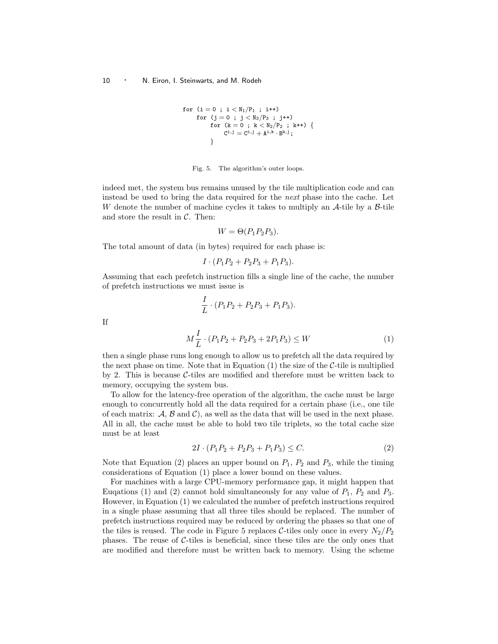for (i = 0 ; i < N1/P<sup>1</sup> ; i++) for (j = 0 ; j < N3/P<sup>3</sup> ; j++) for (k = 0 ; k < N2/P<sup>2</sup> ; k++) { C <sup>i</sup>,<sup>j</sup> = C <sup>i</sup>,<sup>j</sup> + A i,k · B <sup>k</sup>,j; }

Fig. 5. The algorithm's outer loops.

indeed met, the system bus remains unused by the tile multiplication code and can instead be used to bring the data required for the next phase into the cache. Let W denote the number of machine cycles it takes to multiply an  $\mathcal{A}\text{-tile}$  by a  $\mathcal{B}\text{-tile}$ and store the result in  $C$ . Then:

$$
W = \Theta(P_1 P_2 P_3).
$$

The total amount of data (in bytes) required for each phase is:

If

$$
I \cdot (P_1 P_2 + P_2 P_3 + P_1 P_3).
$$

Assuming that each prefetch instruction fills a single line of the cache, the number of prefetch instructions we must issue is

$$
\frac{I}{L} \cdot (P_1 P_2 + P_2 P_3 + P_1 P_3).
$$
\n
$$
M\frac{I}{L} \cdot (P_1 P_2 + P_2 P_3 + 2P_1 P_3) \le W \tag{1}
$$

then a single phase runs long enough to allow us to prefetch all the data required by the next phase on time. Note that in Equation  $(1)$  the size of the C-tile is multiplied by 2. This is because C-tiles are modified and therefore must be written back to memory, occupying the system bus.

To allow for the latency-free operation of the algorithm, the cache must be large enough to concurrently hold all the data required for a certain phase (i.e., one tile of each matrix:  $\mathcal{A}, \mathcal{B}$  and  $\mathcal{C}$ , as well as the data that will be used in the next phase. All in all, the cache must be able to hold two tile triplets, so the total cache size must be at least

$$
2I \cdot (P_1 P_2 + P_2 P_3 + P_1 P_3) \le C. \tag{2}
$$

Note that Equation (2) places an upper bound on  $P_1$ ,  $P_2$  and  $P_3$ , while the timing considerations of Equation (1) place a lower bound on these values.

For machines with a large CPU-memory performance gap, it might happen that Euqations (1) and (2) cannot hold simultaneously for any value of  $P_1$ ,  $P_2$  and  $P_3$ . However, in Equation (1) we calculated the number of prefetch instructions required in a single phase assuming that all three tiles should be replaced. The number of prefetch instructions required may be reduced by ordering the phases so that one of the tiles is reused. The code in Figure 5 replaces C-tiles only once in every  $N_2/P_2$ phases. The reuse of  $C$ -tiles is beneficial, since these tiles are the only ones that are modified and therefore must be written back to memory. Using the scheme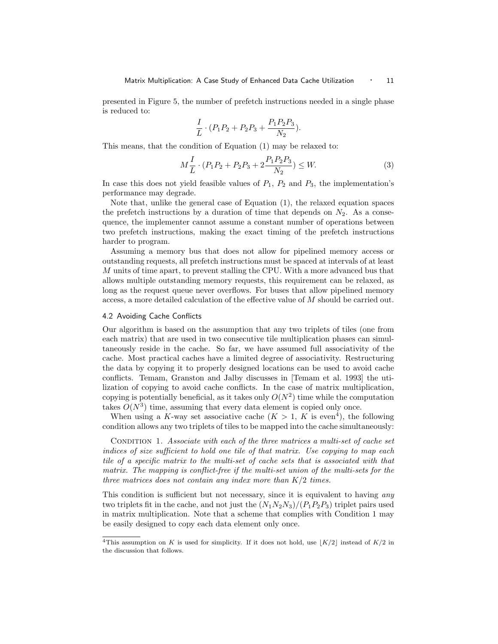presented in Figure 5, the number of prefetch instructions needed in a single phase is reduced to:

$$
\frac{I}{L} \cdot (P_1 P_2 + P_2 P_3 + \frac{P_1 P_2 P_3}{N_2}).
$$

This means, that the condition of Equation (1) may be relaxed to:

$$
M\frac{I}{L} \cdot (P_1 P_2 + P_2 P_3 + 2\frac{P_1 P_2 P_3}{N_2}) \le W.
$$
 (3)

In case this does not yield feasible values of  $P_1$ ,  $P_2$  and  $P_3$ , the implementation's performance may degrade.

Note that, unlike the general case of Equation (1), the relaxed equation spaces the prefetch instructions by a duration of time that depends on  $N_2$ . As a consequence, the implementer cannot assume a constant number of operations between two prefetch instructions, making the exact timing of the prefetch instructions harder to program.

Assuming a memory bus that does not allow for pipelined memory access or outstanding requests, all prefetch instructions must be spaced at intervals of at least M units of time apart, to prevent stalling the CPU. With a more advanced bus that allows multiple outstanding memory requests, this requirement can be relaxed, as long as the request queue never overflows. For buses that allow pipelined memory access, a more detailed calculation of the effective value of M should be carried out.

## 4.2 Avoiding Cache Conflicts

Our algorithm is based on the assumption that any two triplets of tiles (one from each matrix) that are used in two consecutive tile multiplication phases can simultaneously reside in the cache. So far, we have assumed full associativity of the cache. Most practical caches have a limited degree of associativity. Restructuring the data by copying it to properly designed locations can be used to avoid cache conflicts. Temam, Granston and Jalby discusses in [Temam et al. 1993] the utilization of copying to avoid cache conflicts. In the case of matrix multiplication, copying is potentially beneficial, as it takes only  $O(N^2)$  time while the computation takes  $O(N^3)$  time, assuming that every data element is copied only once.

When using a K-way set associative cache  $(K > 1, K$  is even<sup>4</sup>), the following condition allows any two triplets of tiles to be mapped into the cache simultaneously:

CONDITION 1. Associate with each of the three matrices a multi-set of cache set indices of size sufficient to hold one tile of that matrix. Use copying to map each tile of a specific matrix to the multi-set of cache sets that is associated with that matrix. The mapping is conflict-free if the multi-set union of the multi-sets for the three matrices does not contain any index more than  $K/2$  times.

This condition is sufficient but not necessary, since it is equivalent to having *any* two triplets fit in the cache, and not just the  $(N_1N_2N_3)/(P_1P_2P_3)$  triplet pairs used in matrix multiplication. Note that a scheme that complies with Condition 1 may be easily designed to copy each data element only once.

<sup>&</sup>lt;sup>4</sup>This assumption on K is used for simplicity. If it does not hold, use  $\lfloor K/2 \rfloor$  instead of  $K/2$  in the discussion that follows.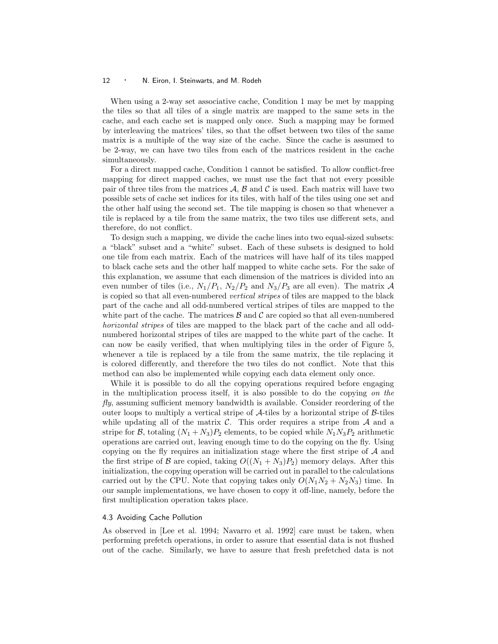When using a 2-way set associative cache, Condition 1 may be met by mapping the tiles so that all tiles of a single matrix are mapped to the same sets in the cache, and each cache set is mapped only once. Such a mapping may be formed by interleaving the matrices' tiles, so that the offset between two tiles of the same matrix is a multiple of the way size of the cache. Since the cache is assumed to be 2-way, we can have two tiles from each of the matrices resident in the cache simultaneously.

For a direct mapped cache, Condition 1 cannot be satisfied. To allow conflict-free mapping for direct mapped caches, we must use the fact that not every possible pair of three tiles from the matrices  $A, B$  and  $C$  is used. Each matrix will have two possible sets of cache set indices for its tiles, with half of the tiles using one set and the other half using the second set. The tile mapping is chosen so that whenever a tile is replaced by a tile from the same matrix, the two tiles use different sets, and therefore, do not conflict.

To design such a mapping, we divide the cache lines into two equal-sized subsets: a "black" subset and a "white" subset. Each of these subsets is designed to hold one tile from each matrix. Each of the matrices will have half of its tiles mapped to black cache sets and the other half mapped to white cache sets. For the sake of this explanation, we assume that each dimension of the matrices is divided into an even number of tiles (i.e.,  $N_1/P_1$ ,  $N_2/P_2$  and  $N_3/P_3$  are all even). The matrix A is copied so that all even-numbered vertical stripes of tiles are mapped to the black part of the cache and all odd-numbered vertical stripes of tiles are mapped to the white part of the cache. The matrices  $\beta$  and  $\beta$  are copied so that all even-numbered horizontal stripes of tiles are mapped to the black part of the cache and all oddnumbered horizontal stripes of tiles are mapped to the white part of the cache. It can now be easily verified, that when multiplying tiles in the order of Figure 5, whenever a tile is replaced by a tile from the same matrix, the tile replacing it is colored differently, and therefore the two tiles do not conflict. Note that this method can also be implemented while copying each data element only once.

While it is possible to do all the copying operations required before engaging in the multiplication process itself, it is also possible to do the copying on the fly, assuming sufficient memory bandwidth is available. Consider reordering of the outer loops to multiply a vertical stripe of  $A$ -tiles by a horizontal stripe of  $B$ -tiles while updating all of the matrix  $\mathcal C$ . This order requires a stripe from  $\mathcal A$  and a stripe for B, totaling  $(N_1 + N_3)P_2$  elements, to be copied while  $N_1N_3P_2$  arithmetic operations are carried out, leaving enough time to do the copying on the fly. Using copying on the fly requires an initialization stage where the first stripe of  $A$  and the first stripe of B are copied, taking  $O((N_1 + N_3)P_2)$  memory delays. After this initialization, the copying operation will be carried out in parallel to the calculations carried out by the CPU. Note that copying takes only  $O(N_1N_2 + N_2N_3)$  time. In our sample implementations, we have chosen to copy it off-line, namely, before the first multiplication operation takes place.

# 4.3 Avoiding Cache Pollution

As observed in [Lee et al. 1994; Navarro et al. 1992] care must be taken, when performing prefetch operations, in order to assure that essential data is not flushed out of the cache. Similarly, we have to assure that fresh prefetched data is not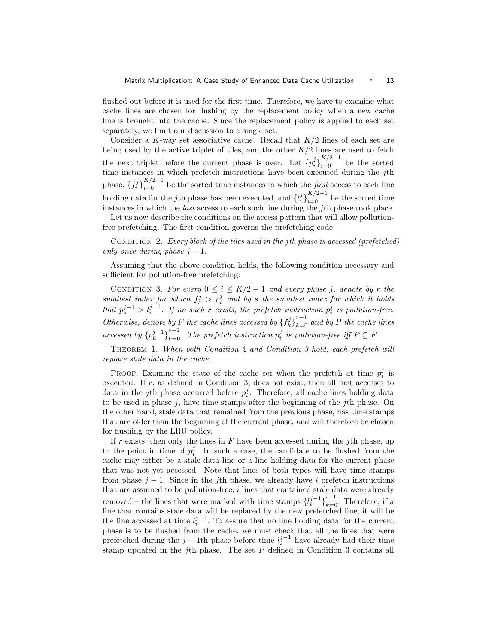flushed out before it is used for the first time. Therefore, we have to examine what cache lines are chosen for flushing by the replacement policy when a new cache line is brought into the cache. Since the replacement policy is applied to each set separately, we limit our discussion to a single set.

Consider a K-way set associative cache. Recall that  $K/2$  lines of each set are being used by the active triplet of tiles, and the other  $K/2$  lines are used to fetch the next triplet before the current phase is over. Let  ${p_i^j}_{i=0}^{K/2-1}$  be the sorted time instances in which prefetch instructions have been executed during the jth phase,  $\{f_i^j\}_{i=0}^{K/2-1}$  be the sorted time instances in which the *first* access to each line holding data for the *j*th phase has been executed, and  $\{l_i^j\}_{i=0}^{K/2-1}$  be the sorted time instances in which the *last* access to each such line during the jth phase took place.

Let us now describe the conditions on the access pattern that will allow pollutionfree prefetching. The first condition governs the prefetching code:

CONDITION 2. Every block of the tiles used in the jth phase is accessed (prefetched) only once during phase  $j-1$ .

Assuming that the above condition holds, the following condition necessary and sufficient for pollution-free prefetching:

CONDITION 3. For every  $0 \le i \le K/2 - 1$  and every phase j, denote by r the smallest index for which  $f_r^j > p_i^j$  and by s the smallest index for which it holds that  $p_s^{j-1} > l_i^{j-1}$ . If no such r exists, the prefetch instruction  $p_i^j$  is pollution-free. Otherwise, denote by F the cache lines accessed by  ${f_{k}^{j}}_{k=0}^{r-1}$  and by P the cache lines accessed by  ${p_k^{j-1}}_{k=0}^{s-1}$ . The prefetch instruction  $p_i^j$  is pollution-free iff P ⊆ F.

THEOREM 1. When both Condition 2 and Condition 3 hold, each prefetch will replace stale data in the cache.

PROOF. Examine the state of the cache set when the prefetch at time  $p_i^j$  is executed. If  $r$ , as defined in Condition 3, does not exist, then all first accesses to data in the *j*th phase occurred before  $p_i^j$ . Therefore, all cache lines holding data to be used in phase  $j$ , have time stamps after the beginning of the  $j$ th phase. On the other hand, stale data that remained from the previous phase, has time stamps that are older than the beginning of the current phase, and will therefore be chosen for flushing by the LRU policy.

If r exists, then only the lines in  $F$  have been accessed during the jth phase, up to the point in time of  $p_i^j$ . In such a case, the candidate to be flushed from the cache may either be a stale data line or a line holding data for the current phase that was not yet accessed. Note that lines of both types will have time stamps from phase  $j - 1$ . Since in the *j*th phase, we already have i prefetch instructions that are assumed to be pollution-free,  $i$  lines that contained stale data were already removed – the lines that were marked with time stamps  $\{l_k^{j-1}\}_{k=0}^{i-1}$ . Therefore, if a line that contains stale data will be replaced by the new prefetched line, it will be the line accessed at time  $l_i^{j-1}$ . To assure that no line holding data for the current phase is to be flushed from the cache, we must check that all the lines that were prefetched during the  $j-1$ th phase before time  $l_i^{j-1}$  have already had their time stamp updated in the jth phase. The set  $P$  defined in Condition 3 contains all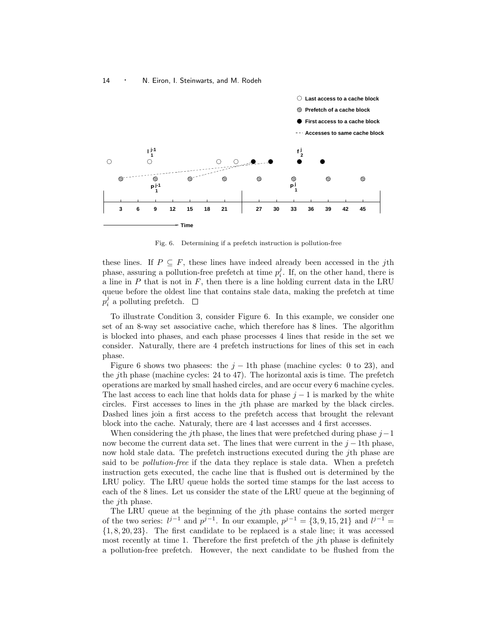

Fig. 6. Determining if a prefetch instruction is pollution-free

these lines. If  $P \subseteq F$ , these lines have indeed already been accessed in the jth phase, assuring a pollution-free prefetch at time  $p_i^j$ . If, on the other hand, there is a line in  $P$  that is not in  $F$ , then there is a line holding current data in the LRU queue before the oldest line that contains stale data, making the prefetch at time  $p_i^j$  a polluting prefetch.

To illustrate Condition 3, consider Figure 6. In this example, we consider one set of an 8-way set associative cache, which therefore has 8 lines. The algorithm is blocked into phases, and each phase processes 4 lines that reside in the set we consider. Naturally, there are 4 prefetch instructions for lines of this set in each phase.

Figure 6 shows two phasees: the  $j - 1$ th phase (machine cycles: 0 to 23), and the jth phase (machine cycles: 24 to 47). The horizontal axis is time. The prefetch operations are marked by small hashed circles, and are occur every 6 machine cycles. The last access to each line that holds data for phase  $j - 1$  is marked by the white circles. First accesses to lines in the jth phase are marked by the black circles. Dashed lines join a first access to the prefetch access that brought the relevant block into the cache. Naturaly, there are 4 last accesses and 4 first accesses.

When considering the *j*th phase, the lines that were prefetched during phase  $j-1$ now become the current data set. The lines that were current in the  $j - 1$ th phase, now hold stale data. The prefetch instructions executed during the *j*th phase are said to be *pollution-free* if the data they replace is stale data. When a prefetch instruction gets executed, the cache line that is flushed out is determined by the LRU policy. The LRU queue holds the sorted time stamps for the last access to each of the 8 lines. Let us consider the state of the LRU queue at the beginning of the jth phase.

The LRU queue at the beginning of the jth phase contains the sorted merger of the two series:  $l^{j-1}$  and  $p^{j-1}$ . In our example,  $p^{j-1} = \{3, 9, 15, 21\}$  and  $l^{j-1} =$ {1, 8, 20, 23}. The first candidate to be replaced is a stale line; it was accessed most recently at time 1. Therefore the first prefetch of the jth phase is definitely a pollution-free prefetch. However, the next candidate to be flushed from the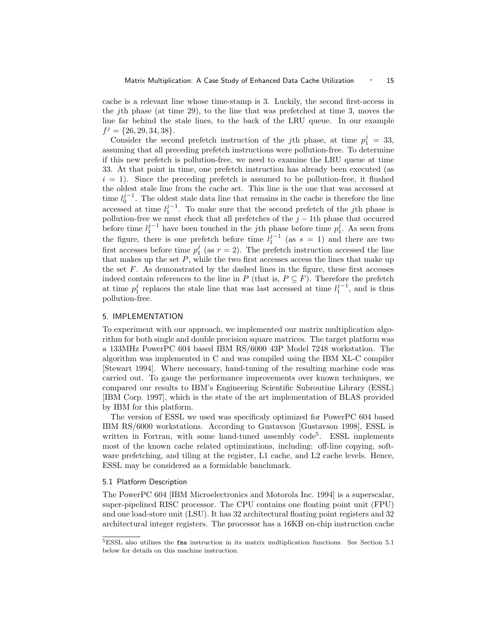cache is a relevant line whose time-stamp is 3. Luckily, the second first-access in the jth phase (at time 29), to the line that was prefetched at time 3, moves the line far behind the stale lines, to the back of the LRU queue. In our example  $f^j = \{26, 29, 34, 38\}.$ 

Consider the second prefetch instruction of the jth phase, at time  $p_1^j = 33$ , assuming that all preceding prefetch instructions were pollution-free. To determine if this new prefetch is pollution-free, we need to examine the LRU queue at time 33. At that point in time, one prefetch instruction has already been executed (as  $i = 1$ ). Since the preceding prefetch is assumed to be pollution-free, it flushed the oldest stale line from the cache set. This line is the one that was accessed at time  $l_0^{j-1}$ . The oldest stale data line that remains in the cache is therefore the line accessed at time  $l_1^{j-1}$ . To make sure that the second prefetch of the jth phase is pollution-free we must check that all prefetches of the  $j-1$ th phase that occurred before time  $l_1^{j-1}$  have been touched in the *j*th phase before time  $p_1^j$ . As seen from the figure, there is one prefetch before time  $l_1^{j-1}$  (as  $s = 1$ ) and there are two first accesses before time  $p_1^j$  (as  $r = 2$ ). The prefetch instruction accessed the line that makes up the set  $P$ , while the two first accesses access the lines that make up the set  $F$ . As demonstrated by the dashed lines in the figure, these first accesses indeed contain references to the line in P (that is,  $P \subseteq F$ ). Therefore the prefetch at time  $p_1^j$  replaces the stale line that was last accessed at time  $l_1^{j-1}$ , and is thus pollution-free.

#### 5. IMPLEMENTATION

To experiment with our approach, we implemented our matrix multiplication algorithm for both single and double precision square matrices. The target platform was a 133MHz PowerPC 604 based IBM RS/6000 43P Model 7248 workstation. The algorithm was implemented in C and was compiled using the IBM XL-C compiler [Stewart 1994]. Where necessary, hand-tuning of the resulting machine code was carried out. To gauge the performance improvements over known techniques, we compared our results to IBM's Engineering Scientific Subroutine Library (ESSL) [IBM Corp. 1997], which is the state of the art implementation of BLAS provided by IBM for this platform.

The version of ESSL we used was specificaly optimized for PowerPC 604 based IBM RS/6000 workstations. According to Gustavson [Gustavson 1998], ESSL is written in Fortran, with some hand-tuned assembly code<sup>5</sup>. ESSL implements most of the known cache related optimizations, including: off-line copying, software prefetching, and tiling at the register, L1 cache, and L2 cache levels. Hence, ESSL may be considered as a formidable banchmark.

## 5.1 Platform Description

The PowerPC 604 [IBM Microelectronics and Motorola Inc. 1994] is a superscalar, super-pipelined RISC processor. The CPU contains one floating point unit (FPU) and one load-store unit (LSU). It has 32 architectural floating point registers and 32 architectural integer registers. The processor has a 16KB on-chip instruction cache

<sup>5</sup>ESSL also utilizes the fma instruction in its matrix multiplication functions. See Section 5.1 below for details on this machine instruction.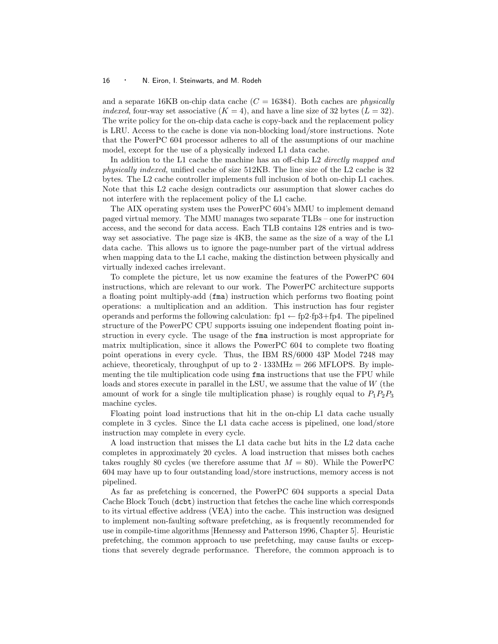and a separate 16KB on-chip data cache  $(C = 16384)$ . Both caches are *physically* indexed, four-way set associative  $(K = 4)$ , and have a line size of 32 bytes  $(L = 32)$ . The write policy for the on-chip data cache is copy-back and the replacement policy is LRU. Access to the cache is done via non-blocking load/store instructions. Note that the PowerPC 604 processor adheres to all of the assumptions of our machine model, except for the use of a physically indexed L1 data cache.

In addition to the L1 cache the machine has an off-chip L2 directly mapped and physically indexed, unified cache of size 512KB. The line size of the L2 cache is 32 bytes. The L2 cache controller implements full inclusion of both on-chip L1 caches. Note that this L2 cache design contradicts our assumption that slower caches do not interfere with the replacement policy of the L1 cache.

The AIX operating system uses the PowerPC 604's MMU to implement demand paged virtual memory. The MMU manages two separate TLBs – one for instruction access, and the second for data access. Each TLB contains 128 entries and is twoway set associative. The page size is 4KB, the same as the size of a way of the L1 data cache. This allows us to ignore the page-number part of the virtual address when mapping data to the L1 cache, making the distinction between physically and virtually indexed caches irrelevant.

To complete the picture, let us now examine the features of the PowerPC 604 instructions, which are relevant to our work. The PowerPC architecture supports a floating point multiply-add (fma) instruction which performs two floating point operations: a multiplication and an addition. This instruction has four register operands and performs the following calculation:  $fp1 \leftarrow fp2-fp3+fp4$ . The pipelined structure of the PowerPC CPU supports issuing one independent floating point instruction in every cycle. The usage of the fma instruction is most appropriate for matrix multiplication, since it allows the PowerPC 604 to complete two floating point operations in every cycle. Thus, the IBM RS/6000 43P Model 7248 may achieve, theoreticaly, throughput of up to  $2 \cdot 133 MHz = 266$  MFLOPS. By implementing the tile multiplication code using fma instructions that use the FPU while loads and stores execute in parallel in the LSU, we assume that the value of W (the amount of work for a single tile multiplication phase) is roughly equal to  $P_1P_2P_3$ machine cycles.

Floating point load instructions that hit in the on-chip L1 data cache usually complete in 3 cycles. Since the L1 data cache access is pipelined, one load/store instruction may complete in every cycle.

A load instruction that misses the L1 data cache but hits in the L2 data cache completes in approximately 20 cycles. A load instruction that misses both caches takes roughly 80 cycles (we therefore assume that  $M = 80$ ). While the PowerPC 604 may have up to four outstanding load/store instructions, memory access is not pipelined.

As far as prefetching is concerned, the PowerPC 604 supports a special Data Cache Block Touch (dcbt) instruction that fetches the cache line which corresponds to its virtual effective address (VEA) into the cache. This instruction was designed to implement non-faulting software prefetching, as is frequently recommended for use in compile-time algorithms [Hennessy and Patterson 1996, Chapter 5]. Heuristic prefetching, the common approach to use prefetching, may cause faults or exceptions that severely degrade performance. Therefore, the common approach is to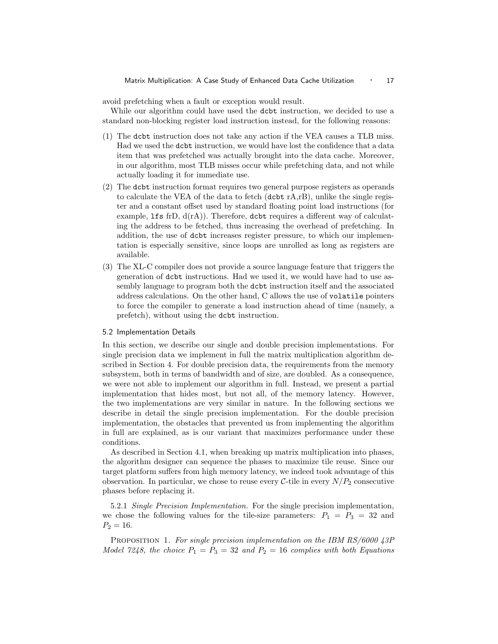avoid prefetching when a fault or exception would result.

While our algorithm could have used the dcbt instruction, we decided to use a standard non-blocking register load instruction instead, for the following reasons:

- (1) The dcbt instruction does not take any action if the VEA causes a TLB miss. Had we used the dcbt instruction, we would have lost the confidence that a data item that was prefetched was actually brought into the data cache. Moreover, in our algorithm, most TLB misses occur while prefetching data, and not while actually loading it for immediate use.
- (2) The dcbt instruction format requires two general purpose registers as operands to calculate the VEA of the data to fetch (dcbt rA,rB), unlike the single register and a constant offset used by standard floating point load instructions (for example, lfs frD,  $d(rA)$ ). Therefore, dcbt requires a different way of calculating the address to be fetched, thus increasing the overhead of prefetching. In addition, the use of dcbt increases register pressure, to which our implementation is especially sensitive, since loops are unrolled as long as registers are available.
- (3) The XL-C compiler does not provide a source language feature that triggers the generation of dcbt instructions. Had we used it, we would have had to use assembly language to program both the dcbt instruction itself and the associated address calculations. On the other hand, C allows the use of volatile pointers to force the compiler to generate a load instruction ahead of time (namely, a prefetch), without using the dcbt instruction.

#### 5.2 Implementation Details

In this section, we describe our single and double precision implementations. For single precision data we implement in full the matrix multiplication algorithm described in Section 4. For double precision data, the requirements from the memory subsystem, both in terms of bandwidth and of size, are doubled. As a consequence, we were not able to implement our algorithm in full. Instead, we present a partial implementation that hides most, but not all, of the memory latency. However, the two implementations are very similar in nature. In the following sections we describe in detail the single precision implementation. For the double precision implementation, the obstacles that prevented us from implementing the algorithm in full are explained, as is our variant that maximizes performance under these conditions.

As described in Section 4.1, when breaking up matrix multiplication into phases, the algorithm designer can sequence the phases to maximize tile reuse. Since our target platform suffers from high memory latency, we indeed took advantage of this observation. In particular, we chose to reuse every  $C$ -tile in every  $N/P_2$  consecutive phases before replacing it.

5.2.1 Single Precision Implementation. For the single precision implementation, we chose the following values for the tile-size parameters:  $P_1 = P_3 = 32$  and  $P_2 = 16.$ 

PROPOSITION 1. For single precision implementation on the IBM RS/6000 43P Model 7248, the choice  $P_1 = P_3 = 32$  and  $P_2 = 16$  complies with both Equations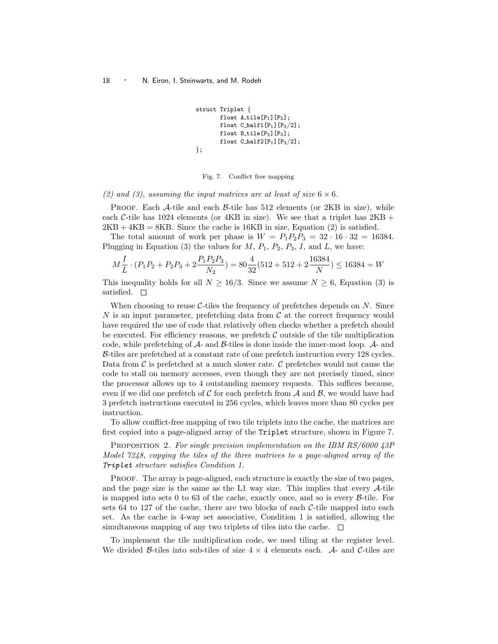```
struct Triplet {
        float A<sub>-tile</sub>[P_1][P_2];
        float C\text{-half1}[P_1][P_3/2];
        float B-tile[P_2][P_3];
        float C_hhalf2[P_1][P_3/2];
};
```
Fig. 7. Conflict free mapping

(2) and (3), assuming the input matrices are at least of size  $6 \times 6$ .

**PROOF.** Each  $\mathcal{A}$ -tile and each  $\mathcal{B}$ -tile has 512 elements (or 2KB in size), while each C-tile has 1024 elements (or 4KB in size). We see that a triplet has  $2KB +$  $2KB + 4KB = 8KB$ . Since the cache is 16KB in size, Equation (2) is satisfied.

The total amount of work per phase is  $W = P_1P_2P_3 = 32 \cdot 16 \cdot 32 = 16384$ . Plugging in Equation (3) the values for  $M$ ,  $P_1$ ,  $P_2$ ,  $P_3$ ,  $I$ , and  $L$ , we have:

$$
M\frac{I}{L}\cdot (P_1P_2+P_2P_3+2\frac{P_1P_2P_3}{N_2})=80\frac{4}{32}(512+512+2\frac{16384}{N})\leq 16384=W
$$

This inequality holds for all  $N \geq 16/3$ . Since we assume  $N \geq 6$ , Equation (3) is satisfied.  $\square$ 

When choosing to reuse  $\mathcal{C}\text{-}$ tiles the frequency of prefetches depends on N. Since N is an input parameter, prefetching data from  $\mathcal C$  at the correct frequency would have required the use of code that relatively often checks whether a prefetch should be executed. For efficiency reasons, we prefetch  $\mathcal C$  outside of the tile multiplication code, while prefetching of A- and B-tiles is done inside the inner-most loop. A- and B-tiles are prefetched at a constant rate of one prefetch instruction every 128 cycles. Data from  $\mathcal C$  is prefetched at a much slower rate.  $\mathcal C$  prefetches would not cause the code to stall on memory accesses, even though they are not precisely timed, since the processor allows up to 4 outstanding memory requests. This suffices because, even if we did one prefetch of  $\mathcal C$  for each prefetch from  $\mathcal A$  and  $\mathcal B$ , we would have had 3 prefetch instructions executed in 256 cycles, which leaves more than 80 cycles per instruction.

To allow conflict-free mapping of two tile triplets into the cache, the matrices are first copied into a page-aligned array of the Triplet structure, shown in Figure 7.

PROPOSITION 2. For single precision implementation on the IBM RS/6000 43P Model 7248, copying the tiles of the three matrices to a page-aligned array of the Triplet structure satisfies Condition 1.

PROOF. The array is page-aligned, each structure is exactly the size of two pages, and the page size is the same as the L1 way size. This implies that every  $\mathcal{A}$ -tile is mapped into sets 0 to 63 of the cache, exactly once, and so is every  $\beta$ -tile. For sets 64 to 127 of the cache, there are two blocks of each  $C$ -tile mapped into each set. As the cache is 4-way set associative, Condition 1 is satisfied, allowing the simultaneous mapping of any two triplets of tiles into the cache.  $\Box$ 

To implement the tile multiplication code, we used tiling at the register level. We divided B-tiles into sub-tiles of size  $4 \times 4$  elements each. A- and C-tiles are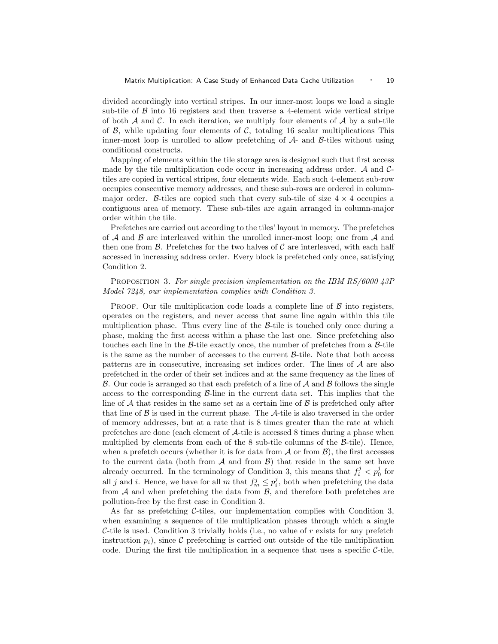divided accordingly into vertical stripes. In our inner-most loops we load a single sub-tile of  $\beta$  into 16 registers and then traverse a 4-element wide vertical stripe of both  $A$  and  $C$ . In each iteration, we multiply four elements of  $A$  by a sub-tile of  $\beta$ , while updating four elements of  $\beta$ , totaling 16 scalar multiplications This inner-most loop is unrolled to allow prefetching of  $A$ - and  $B$ -tiles without using conditional constructs.

Mapping of elements within the tile storage area is designed such that first access made by the tile multiplication code occur in increasing address order.  $\mathcal A$  and  $\mathcal C$ tiles are copied in vertical stripes, four elements wide. Each such 4-element sub-row occupies consecutive memory addresses, and these sub-rows are ordered in columnmajor order. B-tiles are copied such that every sub-tile of size  $4 \times 4$  occupies a contiguous area of memory. These sub-tiles are again arranged in column-major order within the tile.

Prefetches are carried out according to the tiles' layout in memory. The prefetches of  $A$  and  $B$  are interleaved within the unrolled inner-most loop; one from  $A$  and then one from  $\beta$ . Prefetches for the two halves of  $\beta$  are interleaved, with each half accessed in increasing address order. Every block is prefetched only once, satisfying Condition 2.

# PROPOSITION 3. For single precision implementation on the IBM RS/6000 43P Model 7248, our implementation complies with Condition 3.

**PROOF.** Our tile multiplication code loads a complete line of  $\beta$  into registers, operates on the registers, and never access that same line again within this tile multiplication phase. Thus every line of the  $\beta$ -tile is touched only once during a phase, making the first access within a phase the last one. Since prefetching also touches each line in the  $\beta$ -tile exactly once, the number of prefetches from a  $\beta$ -tile is the same as the number of accesses to the current  $\mathcal{B}\text{-tile}$ . Note that both access patterns are in consecutive, increasing set indices order. The lines of  $A$  are also prefetched in the order of their set indices and at the same frequency as the lines of B. Our code is arranged so that each prefetch of a line of  $A$  and  $B$  follows the single access to the corresponding  $\beta$ -line in the current data set. This implies that the line of  $A$  that resides in the same set as a certain line of  $B$  is prefetched only after that line of  $\beta$  is used in the current phase. The  $\mathcal{A}$ -tile is also traversed in the order of memory addresses, but at a rate that is 8 times greater than the rate at which prefetches are done (each element of A-tile is accessed 8 times during a phase when multiplied by elements from each of the  $8$  sub-tile columns of the  $\beta$ -tile). Hence, when a prefetch occurs (whether it is for data from  $\mathcal A$  or from  $\mathcal B$ ), the first accesses to the current data (both from  $A$  and from  $B$ ) that reside in the same set have already occurred. In the terminology of Condition 3, this means that  $f_i^j < p_0^j$  for all j and i. Hence, we have for all m that  $f_m^j \leq p_i^j$ , both when prefetching the data from  $A$  and when prefetching the data from  $B$ , and therefore both prefetches are pollution-free by the first case in Condition 3.

As far as prefetching C-tiles, our implementation complies with Condition 3, when examining a sequence of tile multiplication phases through which a single C-tile is used. Condition 3 trivially holds (i.e., no value of  $r$  exists for any prefetch instruction  $p_i$ ), since C prefetching is carried out outside of the tile multiplication code. During the first tile multiplication in a sequence that uses a specific  $C$ -tile,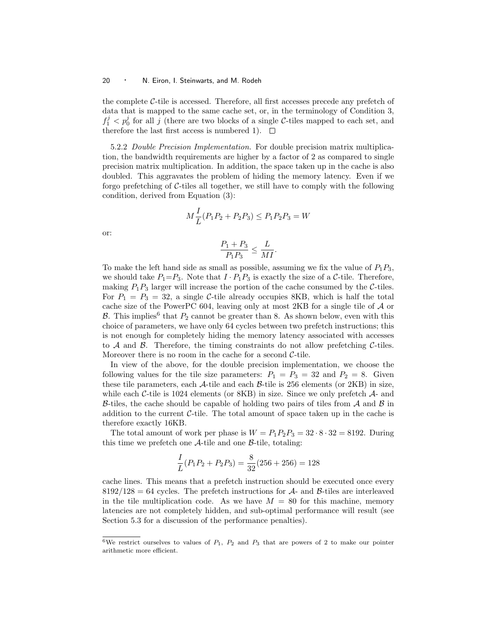the complete C-tile is accessed. Therefore, all first accesses precede any prefetch of data that is mapped to the same cache set, or, in the terminology of Condition 3,  $f_1^j < p_0^j$  for all j (there are two blocks of a single C-tiles mapped to each set, and therefore the last first access is numbered 1).  $\Box$ 

5.2.2 Double Precision Implementation. For double precision matrix multiplication, the bandwidth requirements are higher by a factor of 2 as compared to single precision matrix multiplication. In addition, the space taken up in the cache is also doubled. This aggravates the problem of hiding the memory latency. Even if we forgo prefetching of  $C$ -tiles all together, we still have to comply with the following condition, derived from Equation (3):

$$
M\frac{I}{L}(P_1P_2 + P_2P_3) \le P_1P_2P_3 = W
$$

or:

$$
\frac{P_1+P_3}{P_1P_3}\leq \frac{L}{MI}.
$$

To make the left hand side as small as possible, assuming we fix the value of  $P_1P_3$ , we should take  $P_1 = P_3$ . Note that  $I \cdot P_1 P_3$  is exactly the size of a C-tile. Therefore, making  $P_1P_3$  larger will increase the portion of the cache consumed by the C-tiles. For  $P_1 = P_3 = 32$ , a single C-tile already occupies 8KB, which is half the total cache size of the PowerPC 604, leaving only at most 2KB for a single tile of A or B. This implies<sup>6</sup> that  $P_2$  cannot be greater than 8. As shown below, even with this choice of parameters, we have only 64 cycles between two prefetch instructions; this is not enough for completely hiding the memory latency associated with accesses to  $A$  and  $B$ . Therefore, the timing constraints do not allow prefetching  $C$ -tiles. Moreover there is no room in the cache for a second  $C$ -tile.

In view of the above, for the double precision implementation, we choose the following values for the tile size parameters:  $P_1 = P_3 = 32$  and  $P_2 = 8$ . Given these tile parameters, each  $\mathcal{A}$ -tile and each  $\mathcal{B}$ -tile is 256 elements (or 2KB) in size, while each  $C$ -tile is 1024 elements (or 8KB) in size. Since we only prefetch  $A$ - and B-tiles, the cache should be capable of holding two pairs of tiles from  $\mathcal A$  and  $\mathcal B$  in addition to the current  $C$ -tile. The total amount of space taken up in the cache is therefore exactly 16KB.

The total amount of work per phase is  $W = P_1 P_2 P_3 = 32 \cdot 8 \cdot 32 = 8192$ . During this time we prefetch one  $A$ -tile and one  $B$ -tile, totaling:

$$
\frac{I}{L}(P_1P_2 + P_2P_3) = \frac{8}{32}(256 + 256) = 128
$$

cache lines. This means that a prefetch instruction should be executed once every  $8192/128 = 64$  cycles. The prefetch instructions for A- and B-tiles are interleaved in the tile multiplication code. As we have  $M = 80$  for this machine, memory latencies are not completely hidden, and sub-optimal performance will result (see Section 5.3 for a discussion of the performance penalties).

<sup>&</sup>lt;sup>6</sup>We restrict ourselves to values of  $P_1$ ,  $P_2$  and  $P_3$  that are powers of 2 to make our pointer arithmetic more efficient.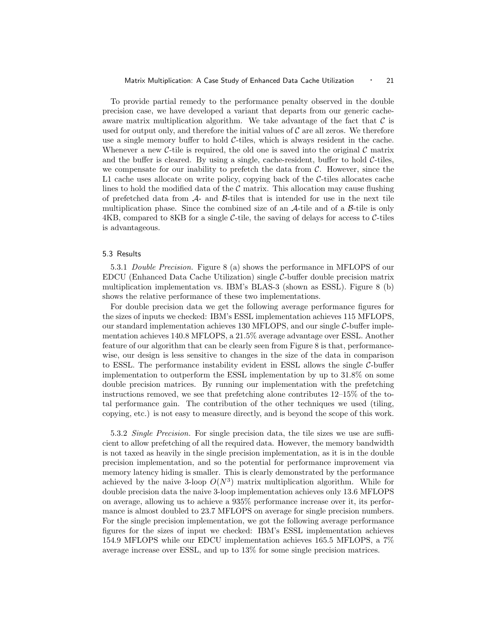To provide partial remedy to the performance penalty observed in the double precision case, we have developed a variant that departs from our generic cacheaware matrix multiplication algorithm. We take advantage of the fact that  $\mathcal C$  is used for output only, and therefore the initial values of  $\mathcal C$  are all zeros. We therefore use a single memory buffer to hold  $C$ -tiles, which is always resident in the cache. Whenever a new C-tile is required, the old one is saved into the original  $\mathcal C$  matrix and the buffer is cleared. By using a single, cache-resident, buffer to hold  $C$ -tiles, we compensate for our inability to prefetch the data from  $C$ . However, since the  $L1$  cache uses allocate on write policy, copying back of the  $C$ -tiles allocates cache lines to hold the modified data of the  $\mathcal C$  matrix. This allocation may cause flushing of prefetched data from  $\mathcal{A}$ - and  $\mathcal{B}$ -tiles that is intended for use in the next tile multiplication phase. Since the combined size of an  $\mathcal{A}$ -tile and of a  $\mathcal{B}$ -tile is only  $4KB$ , compared to  $8KB$  for a single C-tile, the saving of delays for access to C-tiles is advantageous.

## 5.3 Results

5.3.1 Double Precision. Figure 8 (a) shows the performance in MFLOPS of our EDCU (Enhanced Data Cache Utilization) single  $C$ -buffer double precision matrix multiplication implementation vs. IBM's BLAS-3 (shown as ESSL). Figure 8 (b) shows the relative performance of these two implementations.

For double precision data we get the following average performance figures for the sizes of inputs we checked: IBM's ESSL implementation achieves 115 MFLOPS, our standard implementation achieves 130 MFLOPS, and our single  $C$ -buffer implementation achieves 140.8 MFLOPS, a 21.5% average advantage over ESSL. Another feature of our algorithm that can be clearly seen from Figure 8 is that, performancewise, our design is less sensitive to changes in the size of the data in comparison to ESSL. The performance instability evident in ESSL allows the single  $C$ -buffer implementation to outperform the ESSL implementation by up to 31.8% on some double precision matrices. By running our implementation with the prefetching instructions removed, we see that prefetching alone contributes 12–15% of the total performance gain. The contribution of the other techniques we used (tiling, copying, etc.) is not easy to measure directly, and is beyond the scope of this work.

5.3.2 Single Precision. For single precision data, the tile sizes we use are sufficient to allow prefetching of all the required data. However, the memory bandwidth is not taxed as heavily in the single precision implementation, as it is in the double precision implementation, and so the potential for performance improvement via memory latency hiding is smaller. This is clearly demonstrated by the performance achieved by the naive 3-loop  $O(N^3)$  matrix multiplication algorithm. While for double precision data the naive 3-loop implementation achieves only 13.6 MFLOPS on average, allowing us to achieve a 935% performance increase over it, its performance is almost doubled to 23.7 MFLOPS on average for single precision numbers. For the single precision implementation, we got the following average performance figures for the sizes of input we checked: IBM's ESSL implementation achieves 154.9 MFLOPS while our EDCU implementation achieves 165.5 MFLOPS, a 7% average increase over ESSL, and up to 13% for some single precision matrices.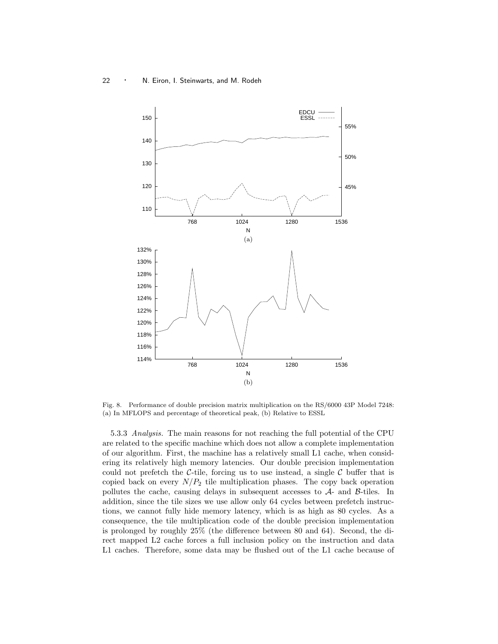

Fig. 8. Performance of double precision matrix multiplication on the RS/6000 43P Model 7248: (a) In MFLOPS and percentage of theoretical peak, (b) Relative to ESSL

5.3.3 Analysis. The main reasons for not reaching the full potential of the CPU are related to the specific machine which does not allow a complete implementation of our algorithm. First, the machine has a relatively small L1 cache, when considering its relatively high memory latencies. Our double precision implementation could not prefetch the C-tile, forcing us to use instead, a single  $\mathcal C$  buffer that is copied back on every  $N/P_2$  tile multiplication phases. The copy back operation pollutes the cache, causing delays in subsequent accesses to A- and B-tiles. In addition, since the tile sizes we use allow only 64 cycles between prefetch instructions, we cannot fully hide memory latency, which is as high as 80 cycles. As a consequence, the tile multiplication code of the double precision implementation is prolonged by roughly 25% (the difference between 80 and 64). Second, the direct mapped L2 cache forces a full inclusion policy on the instruction and data L1 caches. Therefore, some data may be flushed out of the L1 cache because of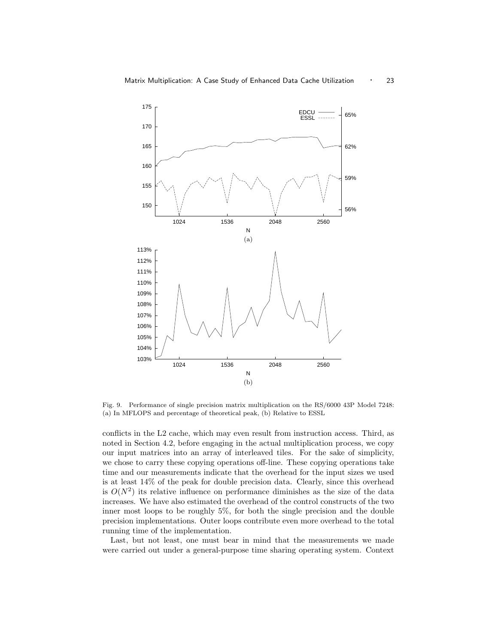

Fig. 9. Performance of single precision matrix multiplication on the RS/6000 43P Model 7248: (a) In MFLOPS and percentage of theoretical peak, (b) Relative to ESSL

conflicts in the L2 cache, which may even result from instruction access. Third, as noted in Section 4.2, before engaging in the actual multiplication process, we copy our input matrices into an array of interleaved tiles. For the sake of simplicity, we chose to carry these copying operations off-line. These copying operations take time and our measurements indicate that the overhead for the input sizes we used is at least 14% of the peak for double precision data. Clearly, since this overhead is  $O(N^2)$  its relative influence on performance diminishes as the size of the data increases. We have also estimated the overhead of the control constructs of the two inner most loops to be roughly 5%, for both the single precision and the double precision implementations. Outer loops contribute even more overhead to the total running time of the implementation.

Last, but not least, one must bear in mind that the measurements we made were carried out under a general-purpose time sharing operating system. Context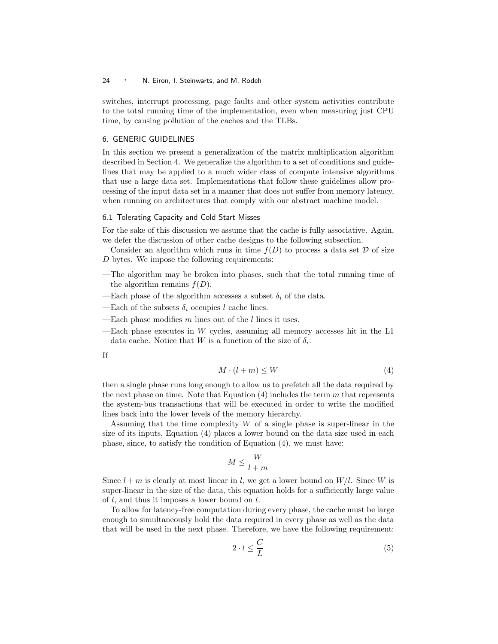switches, interrupt processing, page faults and other system activities contribute to the total running time of the implementation, even when measuring just CPU time, by causing pollution of the caches and the TLBs.

## 6. GENERIC GUIDELINES

In this section we present a generalization of the matrix multiplication algorithm described in Section 4. We generalize the algorithm to a set of conditions and guidelines that may be applied to a much wider class of compute intensive algorithms that use a large data set. Implementations that follow these guidelines allow processing of the input data set in a manner that does not suffer from memory latency, when running on architectures that comply with our abstract machine model.

## 6.1 Tolerating Capacity and Cold Start Misses

For the sake of this discussion we assume that the cache is fully associative. Again, we defer the discussion of other cache designs to the following subsection.

Consider an algorithm which runs in time  $f(D)$  to process a data set D of size D bytes. We impose the following requirements:

- —The algorithm may be broken into phases, such that the total running time of the algorithm remains  $f(D)$ .
- —Each phase of the algorithm accesses a subset  $\delta_i$  of the data.
- —Each of the subsets  $\delta_i$  occupies l cache lines.
- —Each phase modifies m lines out of the l lines it uses.
- $-$ Each phase executes in  $W$  cycles, assuming all memory accesses hit in the L1 data cache. Notice that W is a function of the size of  $\delta_i$ .

If

$$
M \cdot (l+m) \le W \tag{4}
$$

then a single phase runs long enough to allow us to prefetch all the data required by the next phase on time. Note that Equation  $(4)$  includes the term m that represents the system-bus transactions that will be executed in order to write the modified lines back into the lower levels of the memory hierarchy.

Assuming that the time complexity  $W$  of a single phase is super-linear in the size of its inputs, Equation (4) places a lower bound on the data size used in each phase, since, to satisfy the condition of Equation (4), we must have:

$$
M \le \frac{W}{l+m}
$$

Since  $l+m$  is clearly at most linear in l, we get a lower bound on  $W/l$ . Since W is super-linear in the size of the data, this equation holds for a sufficiently large value of l, and thus it imposes a lower bound on l.

To allow for latency-free computation during every phase, the cache must be large enough to simultaneously hold the data required in every phase as well as the data that will be used in the next phase. Therefore, we have the following requirement:

$$
2 \cdot l \le \frac{C}{L} \tag{5}
$$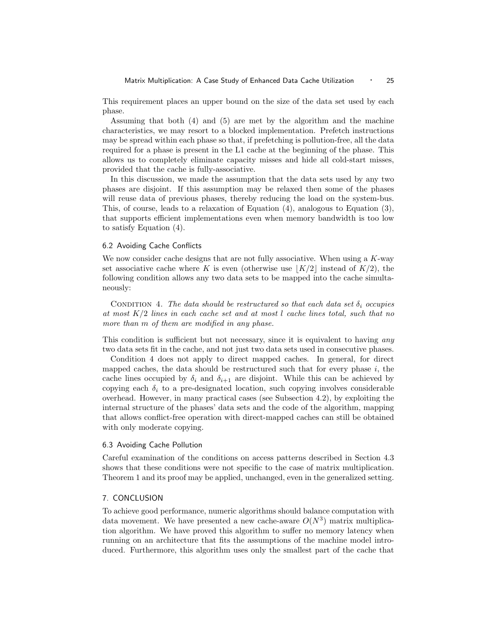This requirement places an upper bound on the size of the data set used by each phase.

Assuming that both (4) and (5) are met by the algorithm and the machine characteristics, we may resort to a blocked implementation. Prefetch instructions may be spread within each phase so that, if prefetching is pollution-free, all the data required for a phase is present in the L1 cache at the beginning of the phase. This allows us to completely eliminate capacity misses and hide all cold-start misses, provided that the cache is fully-associative.

In this discussion, we made the assumption that the data sets used by any two phases are disjoint. If this assumption may be relaxed then some of the phases will reuse data of previous phases, thereby reducing the load on the system-bus. This, of course, leads to a relaxation of Equation (4), analogous to Equation (3), that supports efficient implementations even when memory bandwidth is too low to satisfy Equation (4).

#### 6.2 Avoiding Cache Conflicts

We now consider cache designs that are not fully associative. When using a  $K$ -way set associative cache where K is even (otherwise use  $|K/2|$  instead of  $K/2$ ), the following condition allows any two data sets to be mapped into the cache simultaneously:

CONDITION 4. The data should be restructured so that each data set  $\delta_i$  occupies at most  $K/2$  lines in each cache set and at most l cache lines total, such that no more than m of them are modified in any phase.

This condition is sufficient but not necessary, since it is equivalent to having any two data sets fit in the cache, and not just two data sets used in consecutive phases.

Condition 4 does not apply to direct mapped caches. In general, for direct mapped caches, the data should be restructured such that for every phase  $i$ , the cache lines occupied by  $\delta_i$  and  $\delta_{i+1}$  are disjoint. While this can be achieved by copying each  $\delta_i$  to a pre-designated location, such copying involves considerable overhead. However, in many practical cases (see Subsection 4.2), by exploiting the internal structure of the phases' data sets and the code of the algorithm, mapping that allows conflict-free operation with direct-mapped caches can still be obtained with only moderate copying.

## 6.3 Avoiding Cache Pollution

Careful examination of the conditions on access patterns described in Section 4.3 shows that these conditions were not specific to the case of matrix multiplication. Theorem 1 and its proof may be applied, unchanged, even in the generalized setting.

#### 7. CONCLUSION

To achieve good performance, numeric algorithms should balance computation with data movement. We have presented a new cache-aware  $O(N^3)$  matrix multiplication algorithm. We have proved this algorithm to suffer no memory latency when running on an architecture that fits the assumptions of the machine model introduced. Furthermore, this algorithm uses only the smallest part of the cache that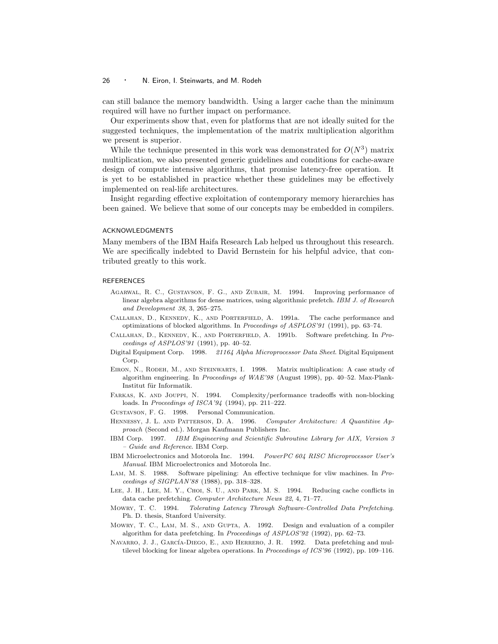can still balance the memory bandwidth. Using a larger cache than the minimum required will have no further impact on performance.

Our experiments show that, even for platforms that are not ideally suited for the suggested techniques, the implementation of the matrix multiplication algorithm we present is superior.

While the technique presented in this work was demonstrated for  $O(N^3)$  matrix multiplication, we also presented generic guidelines and conditions for cache-aware design of compute intensive algorithms, that promise latency-free operation. It is yet to be established in practice whether these guidelines may be effectively implemented on real-life architectures.

Insight regarding effective exploitation of contemporary memory hierarchies has been gained. We believe that some of our concepts may be embedded in compilers.

## ACKNOWLEDGMENTS

Many members of the IBM Haifa Research Lab helped us throughout this research. We are specifically indebted to David Bernstein for his helpful advice, that contributed greatly to this work.

#### **REFERENCES**

- Agarwal, R. C., Gustavson, F. G., and Zubair, M. 1994. Improving performance of linear algebra algorithms for dense matrices, using algorithmic prefetch. IBM J. of Research and Development 38, 3, 265–275.
- Callahan, D., Kennedy, K., and Porterfield, A. 1991a. The cache performance and optimizations of blocked algorithms. In Proceedings of ASPLOS'91 (1991), pp. 63–74.
- Callahan, D., Kennedy, K., and Porterfield, A. 1991b. Software prefetching. In Proceedings of ASPLOS'91 (1991), pp. 40–52.
- Digital Equipment Corp. 1998. 21164 Alpha Microprocessor Data Sheet. Digital Equipment Corp.
- Eiron, N., Rodeh, M., and Steinwarts, I. 1998. Matrix multiplication: A case study of algorithm engineering. In Proceedings of WAE'98 (August 1998), pp. 40–52. Max-Plank-Institut für Informatik.
- FARKAS, K. AND JOUPPI, N. 1994. Complexity/performance tradeoffs with non-blocking loads. In Proceedings of ISCA'94 (1994), pp. 211–222.
- Gustavson, F. G. 1998. Personal Communication.
- HENNESSY, J. L. AND PATTERSON, D. A. 1996. Computer Architecture: A Quantitive Approach (Second ed.). Morgan Kaufmann Publishers Inc.
- IBM Corp. 1997. IBM Engineering and Scientific Subroutine Library for AIX, Version 3 – Guide and Reference. IBM Corp.
- IBM Microelectronics and Motorola Inc. 1994. PowerPC 604 RISC Microprocessor User's Manual. IBM Microelectronics and Motorola Inc.
- Lam, M. S. 1988. Software pipelining: An effective technique for vliw machines. In Proceedings of SIGPLAN'88 (1988), pp. 318–328.
- LEE, J. H., LEE, M. Y., CHOI, S. U., AND PARK, M. S. 1994. Reducing cache conflicts in data cache prefetching. Computer Architecture News 22, 4, 71–77.
- Mowry, T. C. 1994. Tolerating Latency Through Software-Controlled Data Prefetching. Ph. D. thesis, Stanford University.
- MOWRY, T. C., LAM, M. S., AND GUPTA, A. 1992. Design and evaluation of a compiler algorithm for data prefetching. In Proceedings of ASPLOS'92 (1992), pp. 62–73.
- NAVARRO, J. J., GARCÍA-DIEGO, E., AND HERRERO, J. R. 1992. Data prefetching and multilevel blocking for linear algebra operations. In Proceedings of ICS'96 (1992), pp. 109–116.